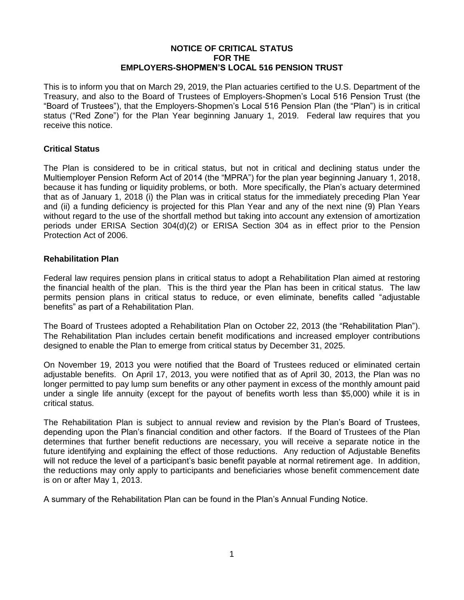### **NOTICE OF CRITICAL STATUS FOR THE EMPLOYERS-SHOPMEN'S LOCAL 516 PENSION TRUST**

This is to inform you that on March 29, 2019, the Plan actuaries certified to the U.S. Department of the Treasury, and also to the Board of Trustees of Employers-Shopmen's Local 516 Pension Trust (the "Board of Trustees"), that the Employers-Shopmen's Local 516 Pension Plan (the "Plan") is in critical status ("Red Zone") for the Plan Year beginning January 1, 2019. Federal law requires that you receive this notice.

## **Critical Status**

The Plan is considered to be in critical status, but not in critical and declining status under the Multiemployer Pension Reform Act of 2014 (the "MPRA") for the plan year beginning January 1, 2018, because it has funding or liquidity problems, or both. More specifically, the Plan's actuary determined that as of January 1, 2018 (i) the Plan was in critical status for the immediately preceding Plan Year and (ii) a funding deficiency is projected for this Plan Year and any of the next nine (9) Plan Years without regard to the use of the shortfall method but taking into account any extension of amortization periods under ERISA Section 304(d)(2) or ERISA Section 304 as in effect prior to the Pension Protection Act of 2006.

## **Rehabilitation Plan**

Federal law requires pension plans in critical status to adopt a Rehabilitation Plan aimed at restoring the financial health of the plan. This is the third year the Plan has been in critical status. The law permits pension plans in critical status to reduce, or even eliminate, benefits called "adjustable benefits" as part of a Rehabilitation Plan.

The Board of Trustees adopted a Rehabilitation Plan on October 22, 2013 (the "Rehabilitation Plan"). The Rehabilitation Plan includes certain benefit modifications and increased employer contributions designed to enable the Plan to emerge from critical status by December 31, 2025.

On November 19, 2013 you were notified that the Board of Trustees reduced or eliminated certain adjustable benefits. On April 17, 2013, you were notified that as of April 30, 2013, the Plan was no longer permitted to pay lump sum benefits or any other payment in excess of the monthly amount paid under a single life annuity (except for the payout of benefits worth less than \$5,000) while it is in critical status.

The Rehabilitation Plan is subject to annual review and revision by the Plan's Board of Trustees, depending upon the Plan's financial condition and other factors. If the Board of Trustees of the Plan determines that further benefit reductions are necessary, you will receive a separate notice in the future identifying and explaining the effect of those reductions. Any reduction of Adjustable Benefits will not reduce the level of a participant's basic benefit payable at normal retirement age. In addition, the reductions may only apply to participants and beneficiaries whose benefit commencement date is on or after May 1, 2013.

A summary of the Rehabilitation Plan can be found in the Plan's Annual Funding Notice.